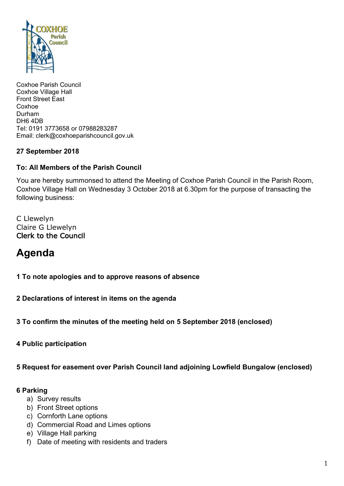

Coxhoe Parish Council Coxhoe Village Hall Front Street East Coxhoe Durham DH6 4DB Tel: 0191 3773658 or 07988283287 Email: clerk@coxhoeparishcouncil.gov.uk

# **27 September 2018**

# **To: All Members of the Parish Council**

You are hereby summonsed to attend the Meeting of Coxhoe Parish Council in the Parish Room, Coxhoe Village Hall on Wednesday 3 October 2018 at 6.30pm for the purpose of transacting the following business:

C Llewelyn Claire G Llewelyn Clerk to the Council

# **Agenda**

**1 To note apologies and to approve reasons of absence**

**2 Declarations of interest in items on the agenda**

**3 To confirm the minutes of the meeting held on 5 September 2018 (enclosed)**

**4 Public participation**

**5 Request for easement over Parish Council land adjoining Lowfield Bungalow (enclosed)**

## **6 Parking**

- a) Survey results
- b) Front Street options
- c) Cornforth Lane options
- d) Commercial Road and Limes options
- e) Village Hall parking
- f) Date of meeting with residents and traders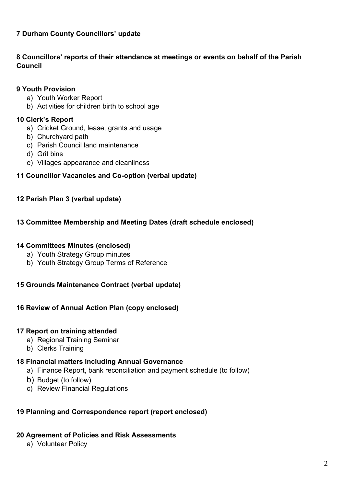# **7 Durham County Councillors' update**

## **8 Councillors' reports of their attendance at meetings or events on behalf of the Parish Council**

#### **9 Youth Provision**

- a) Youth Worker Report
- b) Activities for children birth to school age

#### **10 Clerk's Report**

- a) Cricket Ground, lease, grants and usage
- b) Churchyard path
- c) Parish Council land maintenance
- d) Grit bins
- e) Villages appearance and cleanliness

# **11 Councillor Vacancies and Co-option (verbal update)**

## **12 Parish Plan 3 (verbal update)**

#### **13 Committee Membership and Meeting Dates (draft schedule enclosed)**

#### **14 Committees Minutes (enclosed)**

- a) Youth Strategy Group minutes
- b) Youth Strategy Group Terms of Reference

## **15 Grounds Maintenance Contract (verbal update)**

## **16 Review of Annual Action Plan (copy enclosed)**

#### **17 Report on training attended**

- a) Regional Training Seminar
- b) Clerks Training

## **18 Financial matters including Annual Governance**

- a) Finance Report, bank reconciliation and payment schedule (to follow)
- b) Budget (to follow)
- c) Review Financial Regulations

## **19 Planning and Correspondence report (report enclosed)**

#### **20 Agreement of Policies and Risk Assessments**

a) Volunteer Policy